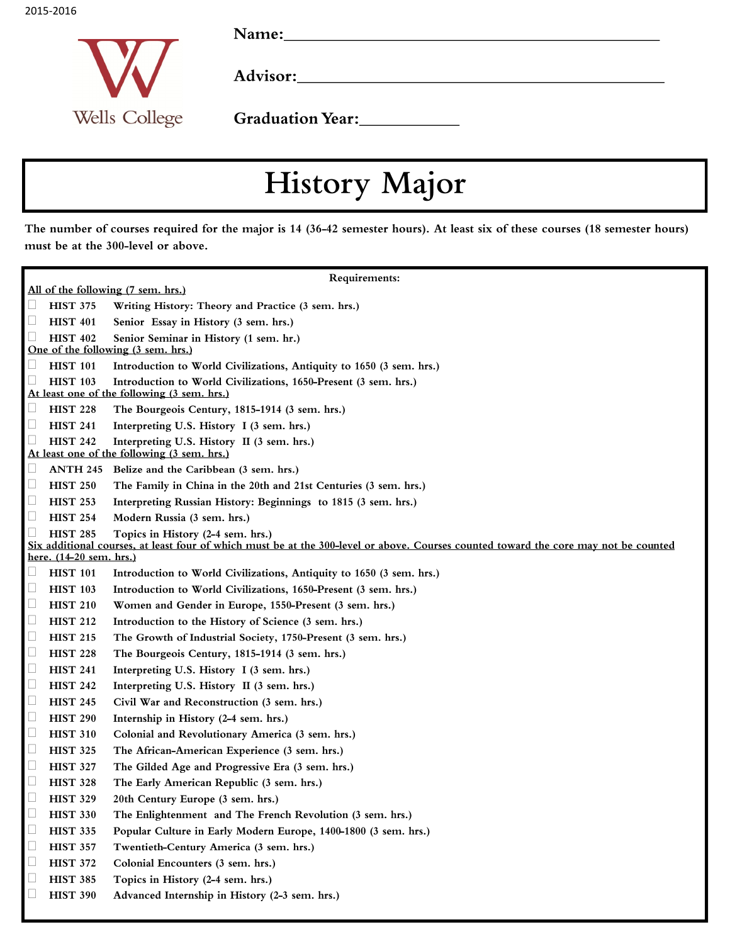2015-2016

Wells College

Name: Name and the second state of the second state of the second state of the second state of the second state of the second state of the second state of the second state of the second state of the second state of the sec

Graduation Year:<br>
<u>Carlian Year:</u>

## History Major

The number of courses required for the major is 14 (36-42 semester hours). At least six of these courses (18 semester hours) must be at the 300-level or above.

| Requirements:                                                                                        |                                                                                                                                      |  |
|------------------------------------------------------------------------------------------------------|--------------------------------------------------------------------------------------------------------------------------------------|--|
| All of the following (7 sem. hrs.)                                                                   |                                                                                                                                      |  |
| <b>HIST 375</b><br>Ц                                                                                 | Writing History: Theory and Practice (3 sem. hrs.)                                                                                   |  |
| L<br><b>HIST 401</b>                                                                                 | Senior Essay in History (3 sem. hrs.)                                                                                                |  |
| Ш<br><b>HIST 402</b><br>Senior Seminar in History (1 sem. hr.)<br>One of the following (3 sem. hrs.) |                                                                                                                                      |  |
| Ц<br><b>HIST 101</b>                                                                                 | Introduction to World Civilizations, Antiquity to 1650 (3 sem. hrs.)                                                                 |  |
| <b>HIST 103</b><br>$\Box$                                                                            | Introduction to World Civilizations, 1650-Present (3 sem. hrs.)                                                                      |  |
| At least one of the following (3 sem. hrs.)                                                          |                                                                                                                                      |  |
| <b>HIST 228</b><br>Ц                                                                                 | The Bourgeois Century, 1815-1914 (3 sem. hrs.)                                                                                       |  |
| <b>HIST 241</b><br>Ц                                                                                 | Interpreting U.S. History I (3 sem. hrs.)                                                                                            |  |
| Ц<br><b>HIST 242</b>                                                                                 | Interpreting U.S. History II (3 sem. hrs.)                                                                                           |  |
| At least one of the following (3 sem. hrs.)                                                          |                                                                                                                                      |  |
| Ц<br><b>ANTH 245</b>                                                                                 | Belize and the Caribbean (3 sem. hrs.)                                                                                               |  |
| Ц<br><b>HIST 250</b>                                                                                 | The Family in China in the 20th and 21st Centuries (3 sem. hrs.)                                                                     |  |
| $\Box$<br><b>HIST 253</b>                                                                            | Interpreting Russian History: Beginnings to 1815 (3 sem. hrs.)                                                                       |  |
| $\Box$<br><b>HIST 254</b>                                                                            | Modern Russia (3 sem. hrs.)                                                                                                          |  |
| $\Box$<br><b>HIST 285</b>                                                                            | Topics in History (2-4 sem. hrs.)                                                                                                    |  |
| here. (14-20 sem. hrs.)                                                                              | Six additional courses, at least four of which must be at the 300-level or above. Courses counted toward the core may not be counted |  |
| Ц<br><b>HIST 101</b>                                                                                 | Introduction to World Civilizations, Antiquity to 1650 (3 sem. hrs.)                                                                 |  |
| <b>HIST 103</b><br>Ц                                                                                 | Introduction to World Civilizations, 1650-Present (3 sem. hrs.)                                                                      |  |
| $\Box$<br><b>HIST 210</b>                                                                            | Women and Gender in Europe, 1550-Present (3 sem. hrs.)                                                                               |  |
| $\Box$<br><b>HIST 212</b>                                                                            | Introduction to the History of Science (3 sem. hrs.)                                                                                 |  |
| $\Box$<br><b>HIST 215</b>                                                                            | The Growth of Industrial Society, 1750-Present (3 sem. hrs.)                                                                         |  |
| $\Box$<br><b>HIST 228</b>                                                                            | The Bourgeois Century, 1815-1914 (3 sem. hrs.)                                                                                       |  |
| $\Box$<br><b>HIST 241</b>                                                                            | Interpreting U.S. History I (3 sem. hrs.)                                                                                            |  |
| $\Box$<br><b>HIST 242</b>                                                                            | Interpreting U.S. History II (3 sem. hrs.)                                                                                           |  |
| $\Box$<br><b>HIST 245</b>                                                                            | Civil War and Reconstruction (3 sem. hrs.)                                                                                           |  |
| $\Box$<br><b>HIST 290</b>                                                                            | Internship in History (2-4 sem. hrs.)                                                                                                |  |
| $\Box$<br><b>HIST 310</b>                                                                            | Colonial and Revolutionary America (3 sem. hrs.)                                                                                     |  |
| $\Box$<br><b>HIST 325</b>                                                                            | The African-American Experience (3 sem. hrs.)                                                                                        |  |
| $\Box$<br><b>HIST 327</b>                                                                            | The Gilded Age and Progressive Era (3 sem. hrs.)                                                                                     |  |
| $\Box$<br><b>HIST 328</b>                                                                            | The Early American Republic (3 sem. hrs.)                                                                                            |  |
| $\Box$<br><b>HIST 329</b>                                                                            | 20th Century Europe (3 sem. hrs.)                                                                                                    |  |
| <b>HIST 330</b><br>$\Box$                                                                            | The Enlightenment and The French Revolution (3 sem. hrs.)                                                                            |  |
| $\Box$<br><b>HIST 335</b>                                                                            | Popular Culture in Early Modern Europe, 1400-1800 (3 sem. hrs.)                                                                      |  |
|                                                                                                      | Twentieth-Century America (3 sem. hrs.)                                                                                              |  |
| Ц<br><b>HIST 357</b>                                                                                 |                                                                                                                                      |  |
| $\Box$<br><b>HIST 372</b>                                                                            | Colonial Encounters (3 sem. hrs.)                                                                                                    |  |
| <b>HIST 385</b><br>Ц                                                                                 | Topics in History (2-4 sem. hrs.)                                                                                                    |  |
| Ц<br><b>HIST 390</b>                                                                                 | Advanced Internship in History (2-3 sem. hrs.)                                                                                       |  |
|                                                                                                      |                                                                                                                                      |  |